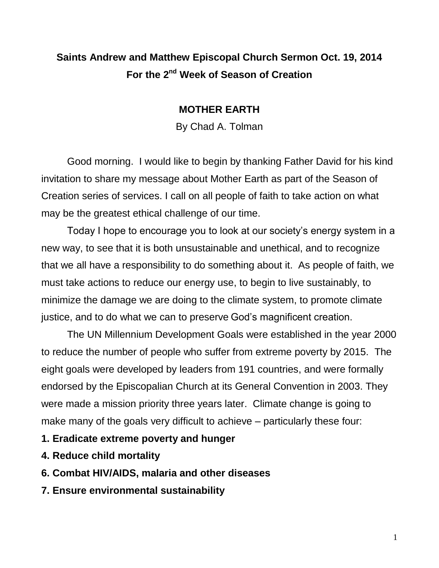## **Saints Andrew and Matthew Episcopal Church Sermon Oct. 19, 2014 For the 2nd Week of Season of Creation**

## **MOTHER EARTH**

By Chad A. Tolman

Good morning. I would like to begin by thanking Father David for his kind invitation to share my message about Mother Earth as part of the Season of Creation series of services. I call on all people of faith to take action on what may be the greatest ethical challenge of our time.

Today I hope to encourage you to look at our society's energy system in a new way, to see that it is both unsustainable and unethical, and to recognize that we all have a responsibility to do something about it. As people of faith, we must take actions to reduce our energy use, to begin to live sustainably, to minimize the damage we are doing to the climate system, to promote climate justice, and to do what we can to preserve God's magnificent creation.

The UN [Millennium Development Goals](http://www.un.org/millenniumgoals/) were established in the year 2000 to reduce the number of people who suffer from extreme poverty by 2015. The eight goals were developed by leaders from 191 countries, and were formally endorsed by the Episcopalian Church at its General Convention in 2003. They were made a mission priority three years later. Climate change is going to make many of the goals very difficult to achieve – particularly these four:

- **1. Eradicate extreme poverty and hunger**
- **4. Reduce child mortality**
- **6. Combat HIV/AIDS, malaria and other diseases**
- **7. Ensure environmental sustainability**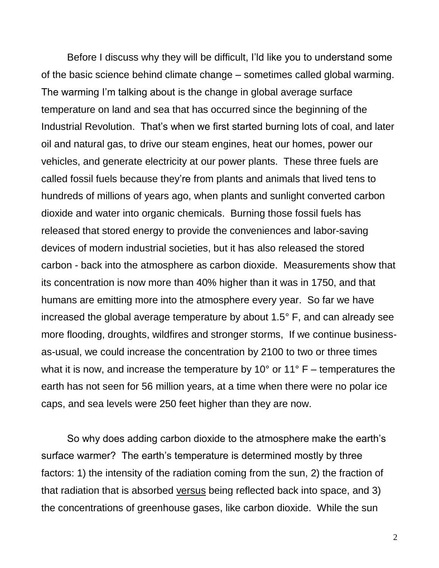Before I discuss why they will be difficult, I'ld like you to understand some of the basic science behind climate change – sometimes called global warming. The warming I'm talking about is the change in global average surface temperature on land and sea that has occurred since the beginning of the Industrial Revolution. That's when we first started burning lots of coal, and later oil and natural gas, to drive our steam engines, heat our homes, power our vehicles, and generate electricity at our power plants. These three fuels are called fossil fuels because they're from plants and animals that lived tens to hundreds of millions of years ago, when plants and sunlight converted carbon dioxide and water into organic chemicals. Burning those fossil fuels has released that stored energy to provide the conveniences and labor-saving devices of modern industrial societies, but it has also released the stored carbon - back into the atmosphere as carbon dioxide. Measurements show that its concentration is now more than 40% higher than it was in 1750, and that humans are emitting more into the atmosphere every year. So far we have increased the global average temperature by about 1.5° F, and can already see more flooding, droughts, wildfires and stronger storms, If we continue businessas-usual, we could increase the concentration by 2100 to two or three times what it is now, and increase the temperature by 10 $^{\circ}$  or 11 $^{\circ}$  F – temperatures the earth has not seen for 56 million years, at a time when there were no polar ice caps, and sea levels were 250 feet higher than they are now.

So why does adding carbon dioxide to the atmosphere make the earth's surface warmer? The earth's temperature is determined mostly by three factors: 1) the intensity of the radiation coming from the sun, 2) the fraction of that radiation that is absorbed versus being reflected back into space, and 3) the concentrations of greenhouse gases, like carbon dioxide. While the sun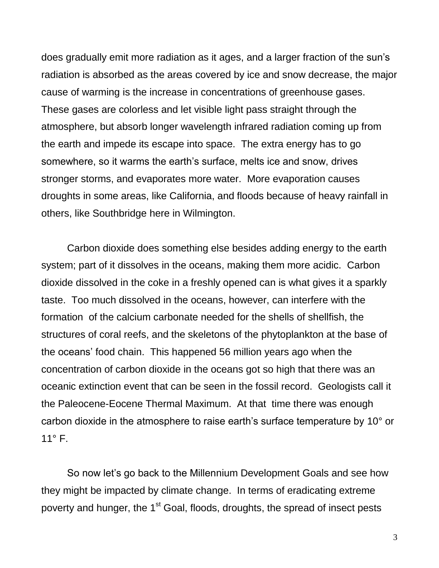does gradually emit more radiation as it ages, and a larger fraction of the sun's radiation is absorbed as the areas covered by ice and snow decrease, the major cause of warming is the increase in concentrations of greenhouse gases. These gases are colorless and let visible light pass straight through the atmosphere, but absorb longer wavelength infrared radiation coming up from the earth and impede its escape into space. The extra energy has to go somewhere, so it warms the earth's surface, melts ice and snow, drives stronger storms, and evaporates more water. More evaporation causes droughts in some areas, like California, and floods because of heavy rainfall in others, like Southbridge here in Wilmington.

Carbon dioxide does something else besides adding energy to the earth system; part of it dissolves in the oceans, making them more acidic. Carbon dioxide dissolved in the coke in a freshly opened can is what gives it a sparkly taste. Too much dissolved in the oceans, however, can interfere with the formation of the calcium carbonate needed for the shells of shellfish, the structures of coral reefs, and the skeletons of the phytoplankton at the base of the oceans' food chain. This happened 56 million years ago when the concentration of carbon dioxide in the oceans got so high that there was an oceanic extinction event that can be seen in the fossil record. Geologists call it the Paleocene-Eocene Thermal Maximum. At that time there was enough carbon dioxide in the atmosphere to raise earth's surface temperature by 10° or  $11^{\circ}$  F.

So now let's go back to the Millennium Development Goals and see how they might be impacted by climate change. In terms of eradicating extreme poverty and hunger, the 1<sup>st</sup> Goal, floods, droughts, the spread of insect pests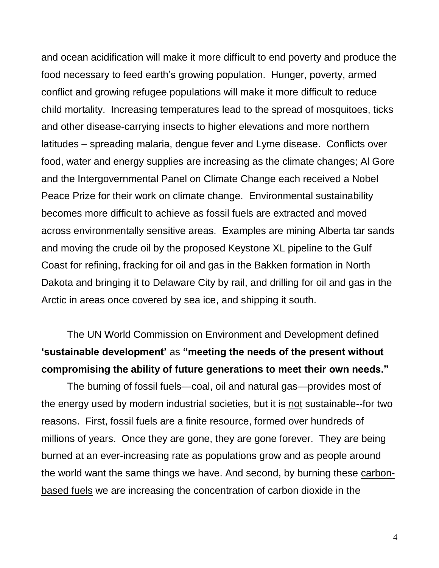and ocean acidification will make it more difficult to end poverty and produce the food necessary to feed earth's growing population. Hunger, poverty, armed conflict and growing refugee populations will make it more difficult to reduce child mortality. Increasing temperatures lead to the spread of mosquitoes, ticks and other disease-carrying insects to higher elevations and more northern latitudes – spreading malaria, dengue fever and Lyme disease. Conflicts over food, water and energy supplies are increasing as the climate changes; Al Gore and the Intergovernmental Panel on Climate Change each received a Nobel Peace Prize for their work on climate change. Environmental sustainability becomes more difficult to achieve as fossil fuels are extracted and moved across environmentally sensitive areas. Examples are mining Alberta tar sands and moving the crude oil by the proposed Keystone XL pipeline to the Gulf Coast for refining, fracking for oil and gas in the Bakken formation in North Dakota and bringing it to Delaware City by rail, and drilling for oil and gas in the Arctic in areas once covered by sea ice, and shipping it south.

The UN World Commission on Environment and Development defined **"sustainable development"** as **"meeting the needs of the present without compromising the ability of future generations to meet their own needs."**

The burning of fossil fuels—coal, oil and natural gas—provides most of the energy used by modern industrial societies, but it is not sustainable--for two reasons. First, fossil fuels are a finite resource, formed over hundreds of millions of years. Once they are gone, they are gone forever. They are being burned at an ever-increasing rate as populations grow and as people around the world want the same things we have. And second, by burning these carbonbased fuels we are increasing the concentration of carbon dioxide in the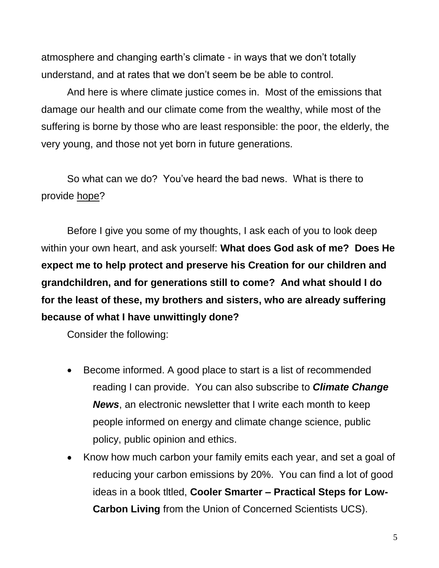atmosphere and changing earth's climate - in ways that we don't totally understand, and at rates that we don't seem be be able to control.

And here is where climate justice comes in. Most of the emissions that damage our health and our climate come from the wealthy, while most of the suffering is borne by those who are least responsible: the poor, the elderly, the very young, and those not yet born in future generations.

So what can we do? You've heard the bad news. What is there to provide hope?

Before I give you some of my thoughts, I ask each of you to look deep within your own heart, and ask yourself: **What does God ask of me? Does He expect me to help protect and preserve his Creation for our children and grandchildren, and for generations still to come? And what should I do for the least of these, my brothers and sisters, who are already suffering because of what I have unwittingly done?**

Consider the following:

- Become informed. A good place to start is a list of recommended reading I can provide. You can also subscribe to *Climate Change News*, an electronic newsletter that I write each month to keep people informed on energy and climate change science, public policy, public opinion and ethics.
- Know how much carbon your family emits each year, and set a goal of reducing your carbon emissions by 20%. You can find a lot of good ideas in a book tltled, **Cooler Smarter – Practical Steps for Low-Carbon Living** from the Union of Concerned Scientists UCS).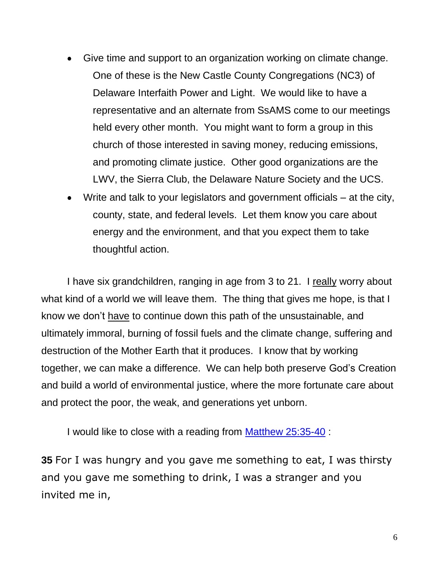- Give time and support to an organization working on climate change. One of these is the New Castle County Congregations (NC3) of Delaware Interfaith Power and Light. We would like to have a representative and an alternate from SsAMS come to our meetings held every other month. You might want to form a group in this church of those interested in saving money, reducing emissions, and promoting climate justice. Other good organizations are the LWV, the Sierra Club, the Delaware Nature Society and the UCS.
- Write and talk to your legislators and government officials at the city, county, state, and federal levels. Let them know you care about energy and the environment, and that you expect them to take thoughtful action.

I have six grandchildren, ranging in age from 3 to 21. I really worry about what kind of a world we will leave them. The thing that gives me hope, is that I know we don't have to continue down this path of the unsustainable, and ultimately immoral, burning of fossil fuels and the climate change, suffering and destruction of the Mother Earth that it produces. I know that by working together, we can make a difference. We can help both preserve God's Creation and build a world of environmental justice, where the more fortunate care about and protect the poor, the weak, and generations yet unborn.

I would like to close with a reading from [Matthew 25:35-40](https://www.biblegateway.com/passage/?search=Matthew%2025:35-40) :

**35** For I was hungry and you gave me something to eat, I was thirsty and you gave me something to drink, I was a stranger and you invited me in,